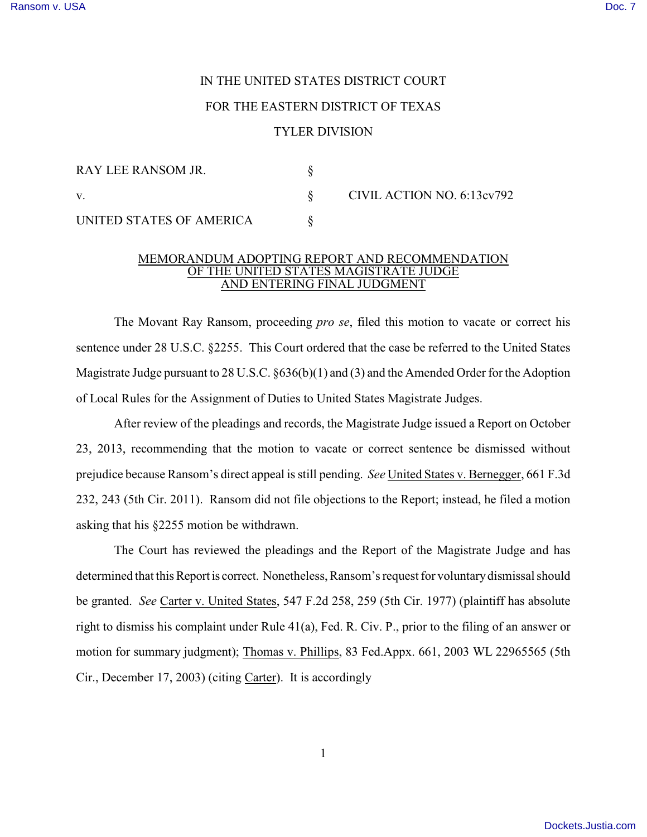## IN THE UNITED STATES DISTRICT COURT

## FOR THE EASTERN DISTRICT OF TEXAS

## TYLER DIVISION

| RAY LEE RANSOM JR.       |  | CIVIL ACTION NO. 6:13cv792 |
|--------------------------|--|----------------------------|
| $\mathbf{V}$ .           |  |                            |
| UNITED STATES OF AMERICA |  |                            |

## MEMORANDUM ADOPTING REPORT AND RECOMMENDATION OF THE UNITED STATES MAGISTRATE JUDGE AND ENTERING FINAL JUDGMENT

The Movant Ray Ransom, proceeding *pro se*, filed this motion to vacate or correct his sentence under 28 U.S.C. §2255. This Court ordered that the case be referred to the United States Magistrate Judge pursuant to 28 U.S.C. §636(b)(1) and (3) and the Amended Order for the Adoption of Local Rules for the Assignment of Duties to United States Magistrate Judges.

After review of the pleadings and records, the Magistrate Judge issued a Report on October 23, 2013, recommending that the motion to vacate or correct sentence be dismissed without prejudice because Ransom's direct appeal is still pending. *See* United States v. Bernegger, 661 F.3d 232, 243 (5th Cir. 2011). Ransom did not file objections to the Report; instead, he filed a motion asking that his §2255 motion be withdrawn.

The Court has reviewed the pleadings and the Report of the Magistrate Judge and has determined that this Report is correct. Nonetheless, Ransom's request for voluntary dismissal should be granted. *See* Carter v. United States, 547 F.2d 258, 259 (5th Cir. 1977) (plaintiff has absolute right to dismiss his complaint under Rule 41(a), Fed. R. Civ. P., prior to the filing of an answer or motion for summary judgment); Thomas v. Phillips, 83 Fed.Appx. 661, 2003 WL 22965565 (5th Cir., December 17, 2003) (citing Carter). It is accordingly